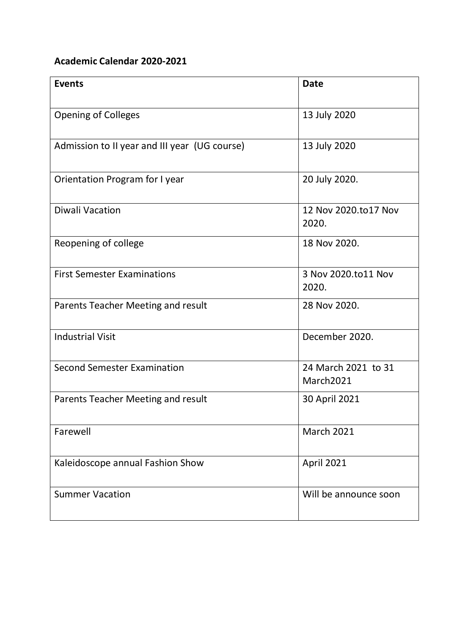## **Academic Calendar 2020-2021**

| <b>Events</b>                                 | <b>Date</b>                      |
|-----------------------------------------------|----------------------------------|
| <b>Opening of Colleges</b>                    | 13 July 2020                     |
| Admission to II year and III year (UG course) | 13 July 2020                     |
| Orientation Program for I year                | 20 July 2020.                    |
| <b>Diwali Vacation</b>                        | 12 Nov 2020.to17 Nov<br>2020.    |
| Reopening of college                          | 18 Nov 2020.                     |
| <b>First Semester Examinations</b>            | 3 Nov 2020.to11 Nov<br>2020.     |
| Parents Teacher Meeting and result            | 28 Nov 2020.                     |
| <b>Industrial Visit</b>                       | December 2020.                   |
| <b>Second Semester Examination</b>            | 24 March 2021 to 31<br>March2021 |
| Parents Teacher Meeting and result            | 30 April 2021                    |
| Farewell                                      | <b>March 2021</b>                |
| Kaleidoscope annual Fashion Show              | <b>April 2021</b>                |
| <b>Summer Vacation</b>                        | Will be announce soon            |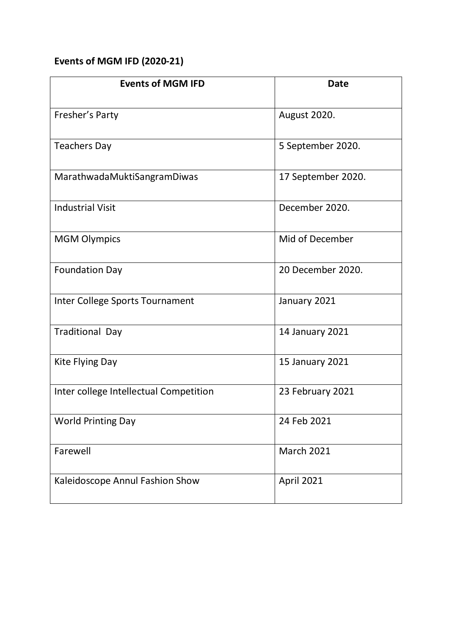## **Events of MGM IFD (2020-21)**

| <b>Events of MGM IFD</b>               | <b>Date</b>            |
|----------------------------------------|------------------------|
| Fresher's Party                        | <b>August 2020.</b>    |
| <b>Teachers Day</b>                    | 5 September 2020.      |
| MarathwadaMuktiSangramDiwas            | 17 September 2020.     |
| <b>Industrial Visit</b>                | December 2020.         |
| <b>MGM Olympics</b>                    | Mid of December        |
| <b>Foundation Day</b>                  | 20 December 2020.      |
| Inter College Sports Tournament        | January 2021           |
| <b>Traditional Day</b>                 | 14 January 2021        |
| Kite Flying Day                        | <b>15 January 2021</b> |
| Inter college Intellectual Competition | 23 February 2021       |
| <b>World Printing Day</b>              | 24 Feb 2021            |
| Farewell                               | <b>March 2021</b>      |
| Kaleidoscope Annul Fashion Show        | April 2021             |